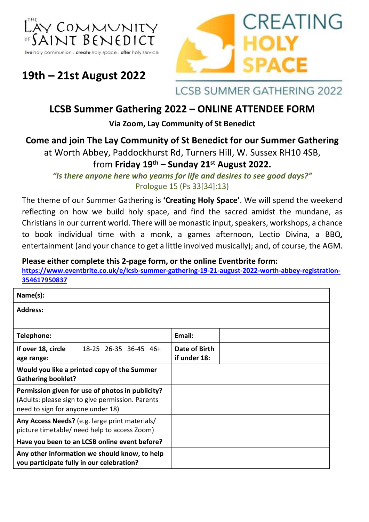



# **19th – 21st August 2022**

**LCSB SUMMER GATHERING 2022** 

## **LCSB Summer Gathering 2022 – ONLINE ATTENDEE FORM**

**Via Zoom, Lay Community of St Benedict**

### **Come and join The Lay Community of St Benedict for our Summer Gathering**

at Worth Abbey, Paddockhurst Rd, Turners Hill, W. Sussex RH10 4SB,

## from **Friday 19 th – Sunday 21st August 2022.**

*"Is there anyone here who yearns for life and desires to see good days?"* Prologue 15 (Ps 33[34]:13)

The theme of our Summer Gathering is **'Creating Holy Space'**. We will spend the weekend reflecting on how we build holy space, and find the sacred amidst the mundane, as Christians in our current world. There will be monastic input, speakers, workshops, a chance to book individual time with a monk, a games afternoon, Lectio Divina, a BBQ, entertainment (and your chance to get a little involved musically); and, of course, the AGM.

#### **Please either complete this 2-page form, or the online Eventbrite form:**

**[https://www.eventbrite.co.uk/e/lcsb-summer-gathering-19-21-august-2022-worth-abbey-registration-](https://www.eventbrite.co.uk/e/lcsb-summer-gathering-19-21-august-2022-worth-abbey-registration-354617950837)[354617950837](https://www.eventbrite.co.uk/e/lcsb-summer-gathering-19-21-august-2022-worth-abbey-registration-354617950837)**

| Name(s):                                                                                                                                  |                       |                               |
|-------------------------------------------------------------------------------------------------------------------------------------------|-----------------------|-------------------------------|
| <b>Address:</b>                                                                                                                           |                       |                               |
|                                                                                                                                           |                       |                               |
| Telephone:                                                                                                                                |                       | Email:                        |
| If over 18, circle<br>age range:                                                                                                          | 18-25 26-35 36-45 46+ | Date of Birth<br>if under 18: |
| Would you like a printed copy of the Summer<br><b>Gathering booklet?</b>                                                                  |                       |                               |
| Permission given for use of photos in publicity?<br>(Adults: please sign to give permission. Parents<br>need to sign for anyone under 18) |                       |                               |
| Any Access Needs? (e.g. large print materials/<br>picture timetable/ need help to access Zoom)                                            |                       |                               |
| Have you been to an LCSB online event before?                                                                                             |                       |                               |
| Any other information we should know, to help<br>you participate fully in our celebration?                                                |                       |                               |